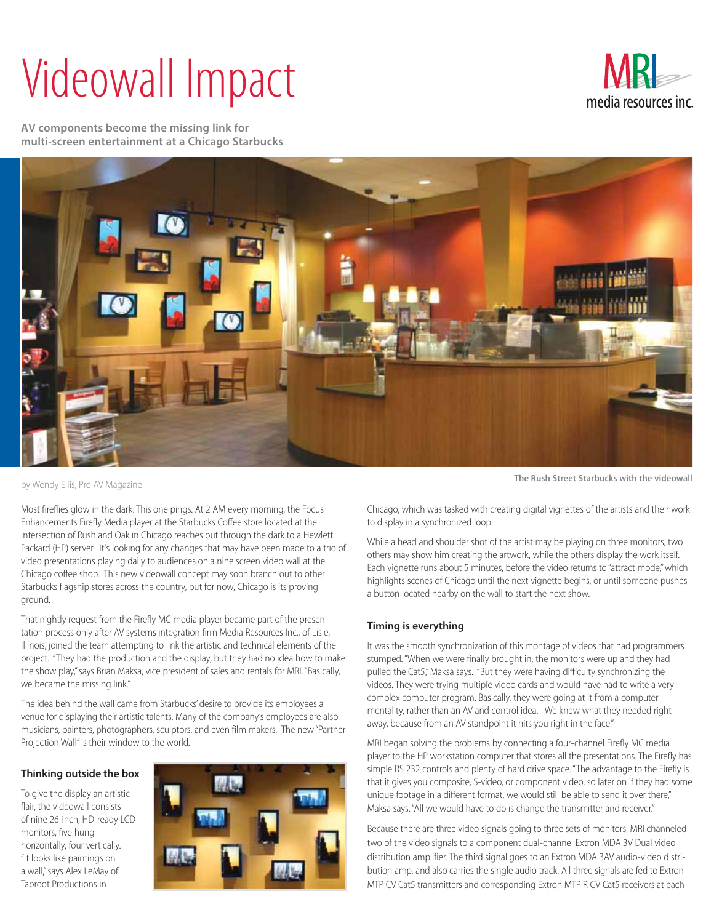## Videowall Impact



**AV components become the missing link for multi-screen entertainment at a Chicago Starbucks**



by Wendy Ellis, Pro AV Magazine

Most fireflies glow in the dark. This one pings. At 2 AM every morning, the Focus Enhancements Firefly Media player at the Starbucks Coffee store located at the intersection of Rush and Oak in Chicago reaches out through the dark to a Hewlett Packard (HP) server. It's looking for any changes that may have been made to a trio of video presentations playing daily to audiences on a nine screen video wall at the Chicago coffee shop. This new videowall concept may soon branch out to other Starbucks flagship stores across the country, but for now, Chicago is its proving ground.

That nightly request from the Firefly MC media player became part of the presentation process only after AV systems integration firm Media Resources Inc., of Lisle, Illinois, joined the team attempting to link the artistic and technical elements of the project. "They had the production and the display, but they had no idea how to make the show play," says Brian Maksa, vice president of sales and rentals for MRI. "Basically, we became the missing link."

The idea behind the wall came from Starbucks' desire to provide its employees a venue for displaying their artistic talents. Many of the company's employees are also musicians, painters, photographers, sculptors, and even film makers. The new "Partner Projection Wall" is their window to the world.

## **Thinking outside the box**

To give the display an artistic flair, the videowall consists of nine 26-inch, HD-ready LCD monitors, five hung horizontally, four vertically. "It looks like paintings on a wall," says Alex LeMay of Taproot Productions in



**The Rush Street Starbucks with the videowall** 

Chicago, which was tasked with creating digital vignettes of the artists and their work to display in a synchronized loop.

While a head and shoulder shot of the artist may be playing on three monitors, two others may show him creating the artwork, while the others display the work itself. Each vignette runs about 5 minutes, before the video returns to "attract mode," which highlights scenes of Chicago until the next vignette begins, or until someone pushes a button located nearby on the wall to start the next show.

## **Timing is everything**

It was the smooth synchronization of this montage of videos that had programmers stumped. "When we were finally brought in, the monitors were up and they had pulled the Cat5," Maksa says. "But they were having difficulty synchronizing the videos. They were trying multiple video cards and would have had to write a very complex computer program. Basically, they were going at it from a computer mentality, rather than an AV and control idea. We knew what they needed right away, because from an AV standpoint it hits you right in the face."

MRI began solving the problems by connecting a four-channel Firefly MC media player to the HP workstation computer that stores all the presentations. The Firefly has simple RS 232 controls and plenty of hard drive space. "The advantage to the Firefly is that it gives you composite, S-video, or component video, so later on if they had some unique footage in a different format, we would still be able to send it over there," Maksa says. "All we would have to do is change the transmitter and receiver."

Because there are three video signals going to three sets of monitors, MRI channeled two of the video signals to a component dual-channel Extron MDA 3V Dual video distribution amplifier. The third signal goes to an Extron MDA 3AV audio-video distribution amp, and also carries the single audio track. All three signals are fed to Extron MTP CV Cat5 transmitters and corresponding Extron MTP R CV Cat5 receivers at each